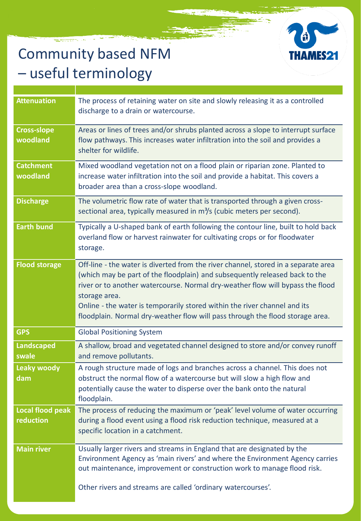## Community based NFM – useful terminology



| <b>Attenuation</b>                   | The process of retaining water on site and slowly releasing it as a controlled<br>discharge to a drain or watercourse.                                                                                                                                                                                                                                                                                                             |
|--------------------------------------|------------------------------------------------------------------------------------------------------------------------------------------------------------------------------------------------------------------------------------------------------------------------------------------------------------------------------------------------------------------------------------------------------------------------------------|
| <b>Cross-slope</b><br>woodland       | Areas or lines of trees and/or shrubs planted across a slope to interrupt surface<br>flow pathways. This increases water infiltration into the soil and provides a<br>shelter for wildlife.                                                                                                                                                                                                                                        |
| <b>Catchment</b><br>woodland         | Mixed woodland vegetation not on a flood plain or riparian zone. Planted to<br>increase water infiltration into the soil and provide a habitat. This covers a<br>broader area than a cross-slope woodland.                                                                                                                                                                                                                         |
| <b>Discharge</b>                     | The volumetric flow rate of water that is transported through a given cross-<br>sectional area, typically measured in m <sup>3</sup> /s (cubic meters per second).                                                                                                                                                                                                                                                                 |
| <b>Earth bund</b>                    | Typically a U-shaped bank of earth following the contour line, built to hold back<br>overland flow or harvest rainwater for cultivating crops or for floodwater<br>storage.                                                                                                                                                                                                                                                        |
| <b>Flood storage</b>                 | Off-line - the water is diverted from the river channel, stored in a separate area<br>(which may be part of the floodplain) and subsequently released back to the<br>river or to another watercourse. Normal dry-weather flow will bypass the flood<br>storage area.<br>Online - the water is temporarily stored within the river channel and its<br>floodplain. Normal dry-weather flow will pass through the flood storage area. |
| <b>GPS</b>                           | <b>Global Positioning System</b>                                                                                                                                                                                                                                                                                                                                                                                                   |
| <b>Landscaped</b><br>swale           | A shallow, broad and vegetated channel designed to store and/or convey runoff<br>and remove pollutants.                                                                                                                                                                                                                                                                                                                            |
| <b>Leaky woody</b><br>dam            | A rough structure made of logs and branches across a channel. This does not<br>obstruct the normal flow of a watercourse but will slow a high flow and<br>potentially cause the water to disperse over the bank onto the natural<br>floodplain.                                                                                                                                                                                    |
| <b>Local flood peak</b><br>reduction | The process of reducing the maximum or 'peak' level volume of water occurring<br>during a flood event using a flood risk reduction technique, measured at a<br>specific location in a catchment.                                                                                                                                                                                                                                   |
| <b>Main river</b>                    | Usually larger rivers and streams in England that are designated by the<br>Environment Agency as 'main rivers' and where the Environment Agency carries<br>out maintenance, improvement or construction work to manage flood risk.<br>Other rivers and streams are called 'ordinary watercourses'.                                                                                                                                 |
|                                      |                                                                                                                                                                                                                                                                                                                                                                                                                                    |